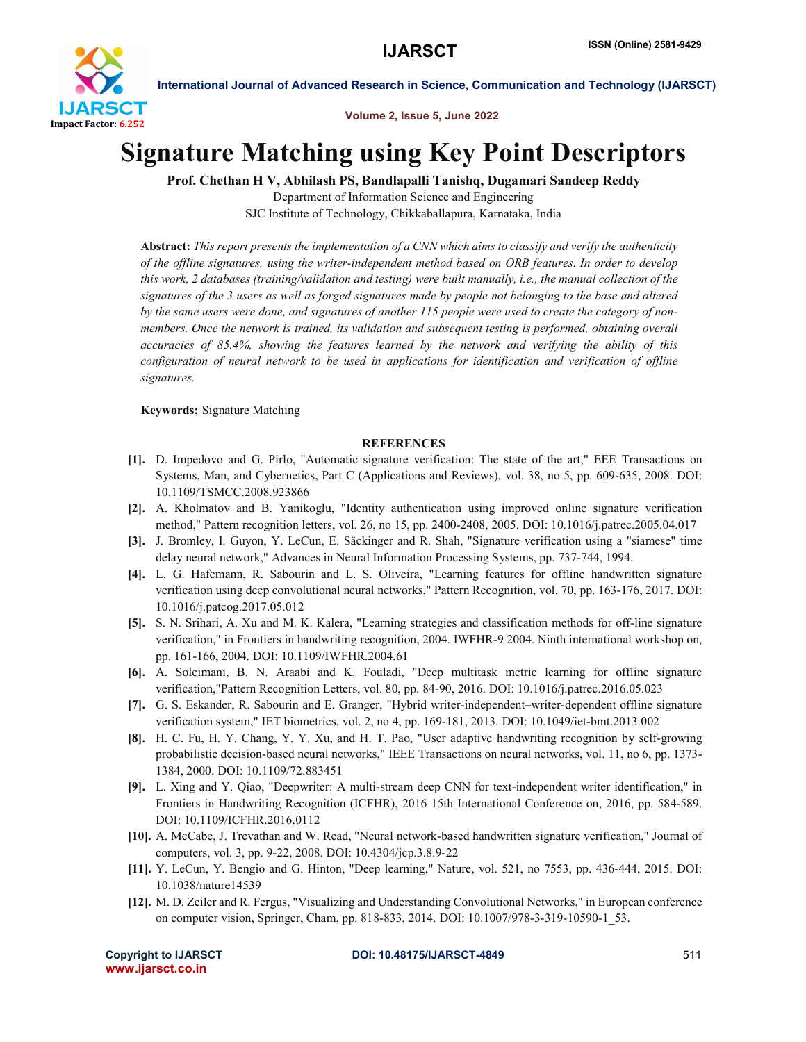

International Journal of Advanced Research in Science, Communication and Technology (IJARSCT)

Volume 2, Issue 5, June 2022

## Signature Matching using Key Point Descriptors

Prof. Chethan H V, Abhilash PS, Bandlapalli Tanishq, Dugamari Sandeep Reddy

Department of Information Science and Engineering SJC Institute of Technology, Chikkaballapura, Karnataka, India

Abstract: *This report presents the implementation of a CNN which aims to classify and verify the authenticity of the offline signatures, using the writer-independent method based on ORB features. In order to develop this work, 2 databases (training/validation and testing) were built manually, i.e., the manual collection of the signatures of the 3 users as well as forged signatures made by people not belonging to the base and altered by the same users were done, and signatures of another 115 people were used to create the category of nonmembers. Once the network is trained, its validation and subsequent testing is performed, obtaining overall accuracies of 85.4%, showing the features learned by the network and verifying the ability of this configuration of neural network to be used in applications for identification and verification of offline signatures.*

Keywords: Signature Matching

## **REFERENCES**

- [1]. D. Impedovo and G. Pirlo, "Automatic signature verification: The state of the art," EEE Transactions on Systems, Man, and Cybernetics, Part C (Applications and Reviews), vol. 38, no 5, pp. 609-635, 2008. DOI: 10.1109/TSMCC.2008.923866
- [2]. A. Kholmatov and B. Yanikoglu, "Identity authentication using improved online signature verification method," Pattern recognition letters, vol. 26, no 15, pp. 2400-2408, 2005. DOI: 10.1016/j.patrec.2005.04.017
- [3]. J. Bromley, I. Guyon, Y. LeCun, E. Säckinger and R. Shah, "Signature verification using a "siamese" time delay neural network," Advances in Neural Information Processing Systems, pp. 737-744, 1994.
- [4]. L. G. Hafemann, R. Sabourin and L. S. Oliveira, "Learning features for offline handwritten signature verification using deep convolutional neural networks," Pattern Recognition, vol. 70, pp. 163-176, 2017. DOI: 10.1016/j.patcog.2017.05.012
- [5]. S. N. Srihari, A. Xu and M. K. Kalera, "Learning strategies and classification methods for off-line signature verification," in Frontiers in handwriting recognition, 2004. IWFHR-9 2004. Ninth international workshop on, pp. 161-166, 2004. DOI: 10.1109/IWFHR.2004.61
- [6]. A. Soleimani, B. N. Araabi and K. Fouladi, "Deep multitask metric learning for offline signature verification,"Pattern Recognition Letters, vol. 80, pp. 84-90, 2016. DOI: 10.1016/j.patrec.2016.05.023
- [7]. G. S. Eskander, R. Sabourin and E. Granger, "Hybrid writer-independent–writer-dependent offline signature verification system," IET biometrics, vol. 2, no 4, pp. 169-181, 2013. DOI: 10.1049/iet-bmt.2013.002
- [8]. H. C. Fu, H. Y. Chang, Y. Y. Xu, and H. T. Pao, "User adaptive handwriting recognition by self-growing probabilistic decision-based neural networks," IEEE Transactions on neural networks, vol. 11, no 6, pp. 1373- 1384, 2000. DOI: 10.1109/72.883451
- [9]. L. Xing and Y. Qiao, "Deepwriter: A multi-stream deep CNN for text-independent writer identification," in Frontiers in Handwriting Recognition (ICFHR), 2016 15th International Conference on, 2016, pp. 584-589. DOI: 10.1109/ICFHR.2016.0112
- [10]. A. McCabe, J. Trevathan and W. Read, "Neural network-based handwritten signature verification," Journal of computers, vol. 3, pp. 9-22, 2008. DOI: 10.4304/jcp.3.8.9-22
- [11]. Y. LeCun, Y. Bengio and G. Hinton, "Deep learning," Nature, vol. 521, no 7553, pp. 436-444, 2015. DOI: 10.1038/nature14539
- [12]. M. D. Zeiler and R. Fergus, "Visualizing and Understanding Convolutional Networks," in European conference on computer vision, Springer, Cham, pp. 818-833, 2014. DOI: 10.1007/978-3-319-10590-1\_53.